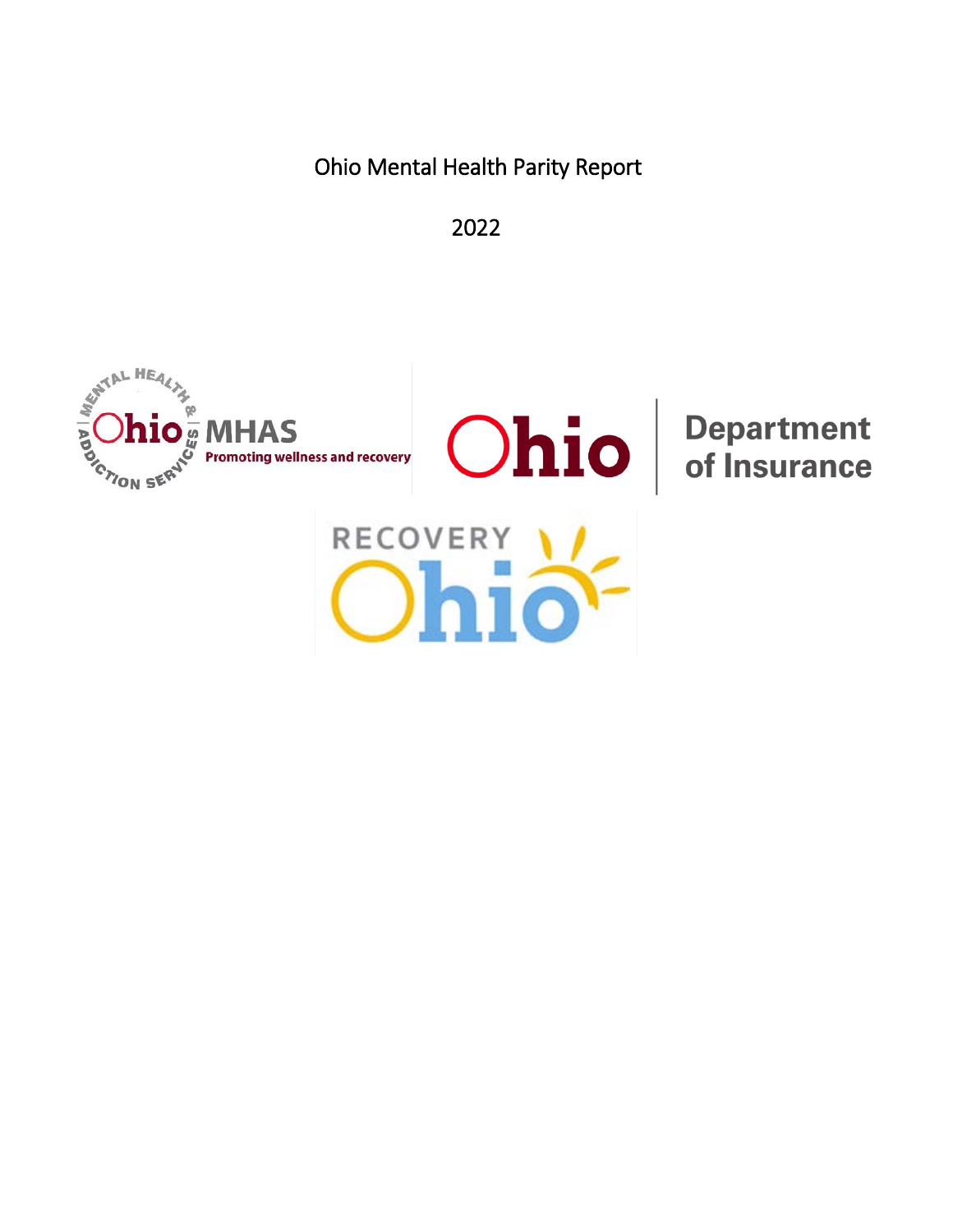Ohio Mental Health Parity Report

2022

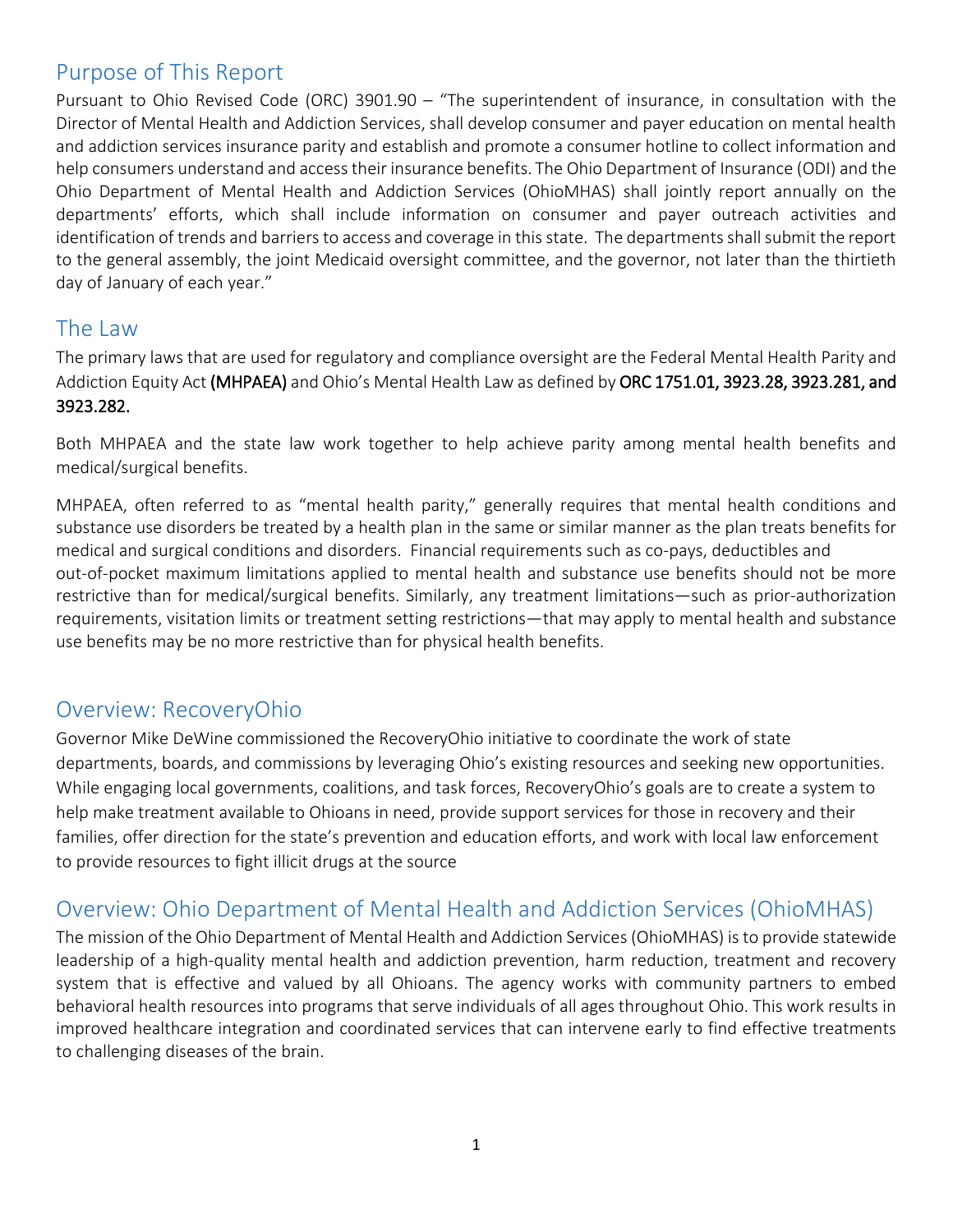# Purpose of This Report

Pursuant to Ohio Revised Code (ORC) 3901.90 – "The superintendent of insurance, in consultation with the Director of Mental Health and Addiction Services, shall develop consumer and payer education on mental health and addiction services insurance parity and establish and promote a consumer hotline to collect information and help consumers understand and access their insurance benefits. The Ohio Department of Insurance (ODI) and the Ohio Department of Mental Health and Addiction Services (OhioMHAS) shall jointly report annually on the departments' efforts, which shall include information on consumer and payer outreach activities and identification of trends and barriers to access and coverage in this state. The departments shall submit the report to the general assembly, the joint Medicaid oversight committee, and the governor, not later than the thirtieth day of January of each year."

# The Law

The primary laws that are used for regulatory and compliance oversight are the Federal Mental Health Parity and Addiction Equity Act (MHPAEA) and Ohio's Mental Health Law as defined by ORC 1751.01, 3923.28, 3923.281, and 3923.282.

Both MHPAEA and the state law work together to help achieve parity among mental health benefits and medical/surgical benefits.

MHPAEA, often referred to as "mental health parity," generally requires that mental health conditions and substance use disorders be treated by a health plan in the same or similar manner as the plan treats benefits for medical and surgical conditions and disorders. Financial requirements such as co-pays, deductibles and out-of-pocket maximum limitations applied to mental health and substance use benefits should not be more restrictive than for medical/surgical benefits. Similarly, any treatment limitations—such as prior-authorization requirements, visitation limits or treatment setting restrictions—that may apply to mental health and substance use benefits may be no more restrictive than for physical health benefits.

# Overview: RecoveryOhio

Governor Mike DeWine commissioned the RecoveryOhio initiative to coordinate the work of state departments, boards, and commissions by leveraging Ohio's existing resources and seeking new opportunities. While engaging local governments, coalitions, and task forces, RecoveryOhio's goals are to create a system to help make treatment available to Ohioans in need, provide support services for those in recovery and their families, offer direction for the state's prevention and education efforts, and work with local law enforcement to provide resources to fight illicit drugs at the source

# Overview: Ohio Department of Mental Health and Addiction Services (OhioMHAS)

The mission of the Ohio Department of Mental Health and Addiction Services (OhioMHAS) is to provide statewide leadership of a high-quality mental health and addiction prevention, harm reduction, treatment and recovery system that is effective and valued by all Ohioans. The agency works with community partners to embed behavioral health resources into programs that serve individuals of all ages throughout Ohio. This work results in improved healthcare integration and coordinated services that can intervene early to find effective treatments to challenging diseases of the brain.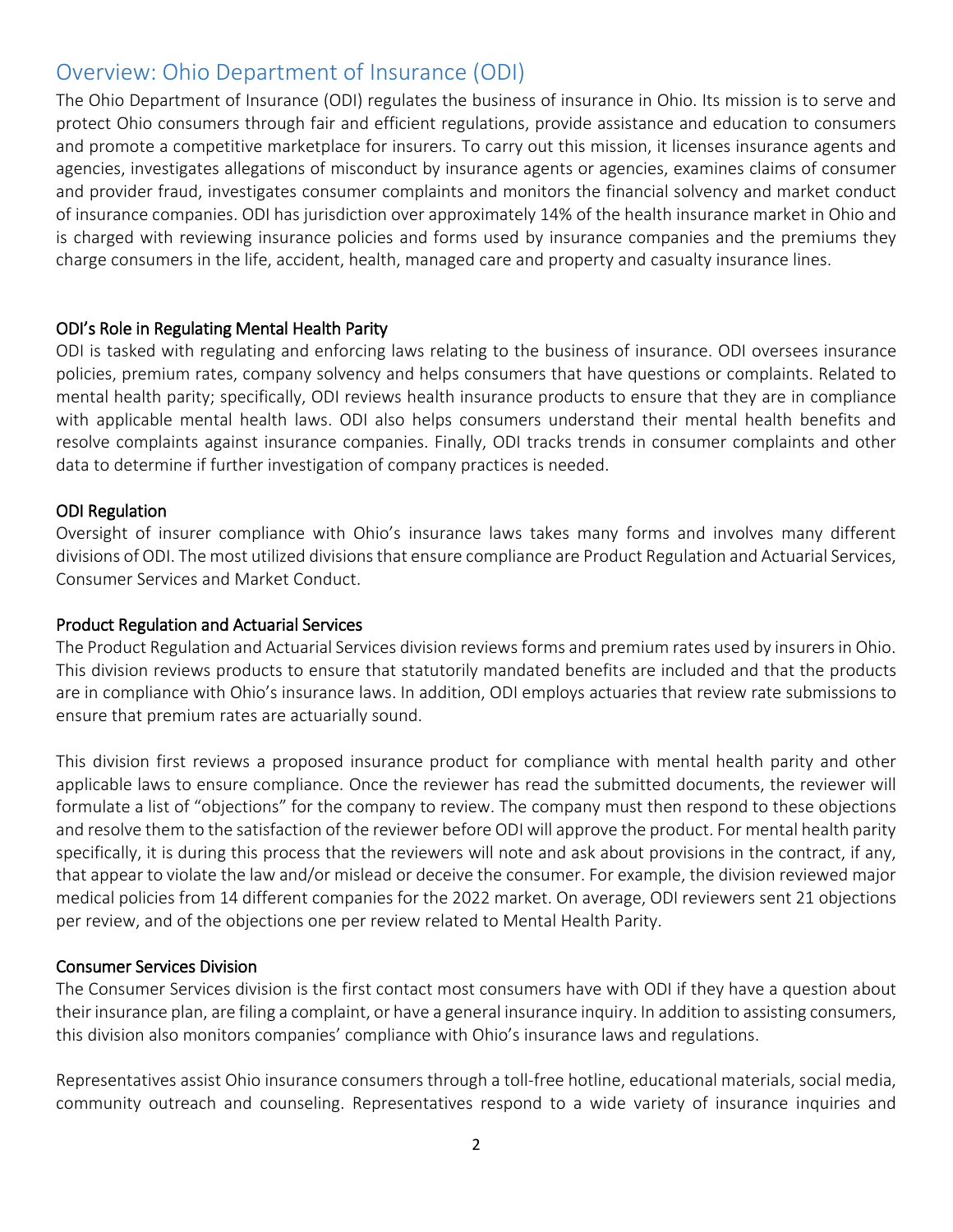# Overview: Ohio Department of Insurance (ODI)

The Ohio Department of Insurance (ODI) regulates the business of insurance in Ohio. Its mission is to serve and protect Ohio consumers through fair and efficient regulations, provide assistance and education to consumers and promote a competitive marketplace for insurers. To carry out this mission, it licenses insurance agents and agencies, investigates allegations of misconduct by insurance agents or agencies, examines claims of consumer and provider fraud, investigates consumer complaints and monitors the financial solvency and market conduct of insurance companies. ODI has jurisdiction over approximately 14% of the health insurance market in Ohio and is charged with reviewing insurance policies and forms used by insurance companies and the premiums they charge consumers in the life, accident, health, managed care and property and casualty insurance lines.

### ODI's Role in Regulating Mental Health Parity

ODI is tasked with regulating and enforcing laws relating to the business of insurance. ODI oversees insurance policies, premium rates, company solvency and helps consumers that have questions or complaints. Related to mental health parity; specifically, ODI reviews health insurance products to ensure that they are in compliance with applicable mental health laws. ODI also helps consumers understand their mental health benefits and resolve complaints against insurance companies. Finally, ODI tracks trends in consumer complaints and other data to determine if further investigation of company practices is needed.

#### ODI Regulation

Oversight of insurer compliance with Ohio's insurance laws takes many forms and involves many different divisions of ODI. The most utilized divisions that ensure compliance are Product Regulation and Actuarial Services, Consumer Services and Market Conduct.

#### Product Regulation and Actuarial Services

The Product Regulation and Actuarial Services division reviews forms and premium rates used by insurers in Ohio. This division reviews products to ensure that statutorily mandated benefits are included and that the products are in compliance with Ohio's insurance laws. In addition, ODI employs actuaries that review rate submissions to ensure that premium rates are actuarially sound.

This division first reviews a proposed insurance product for compliance with mental health parity and other applicable laws to ensure compliance. Once the reviewer has read the submitted documents, the reviewer will formulate a list of "objections" for the company to review. The company must then respond to these objections and resolve them to the satisfaction of the reviewer before ODI will approve the product. For mental health parity specifically, it is during this process that the reviewers will note and ask about provisions in the contract, if any, that appear to violate the law and/or mislead or deceive the consumer. For example, the division reviewed major medical policies from 14 different companies for the 2022 market. On average, ODI reviewers sent 21 objections per review, and of the objections one per review related to Mental Health Parity.

#### Consumer Services Division

The Consumer Services division is the first contact most consumers have with ODI if they have a question about their insurance plan, are filing a complaint, or have a general insurance inquiry. In addition to assisting consumers, this division also monitors companies' compliance with Ohio's insurance laws and regulations.

Representatives assist Ohio insurance consumers through a toll-free hotline, educational materials, social media, community outreach and counseling. Representatives respond to a wide variety of insurance inquiries and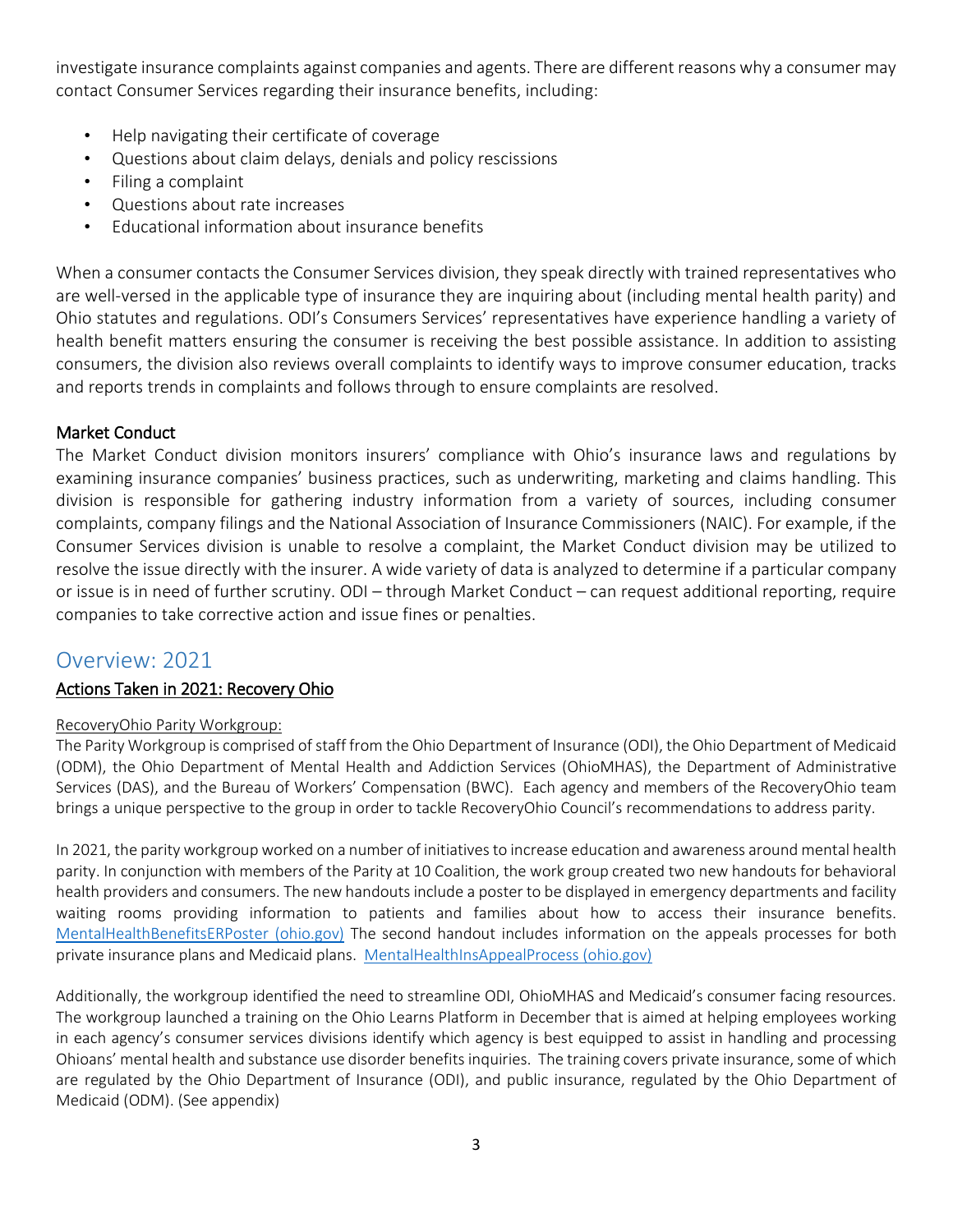investigate insurance complaints against companies and agents. There are different reasons why a consumer may contact Consumer Services regarding their insurance benefits, including:

- Help navigating their certificate of coverage
- Questions about claim delays, denials and policy rescissions
- Filing a complaint
- Questions about rate increases
- Educational information about insurance benefits

When a consumer contacts the Consumer Services division, they speak directly with trained representatives who are well-versed in the applicable type of insurance they are inquiring about (including mental health parity) and Ohio statutes and regulations. ODI's Consumers Services' representatives have experience handling a variety of health benefit matters ensuring the consumer is receiving the best possible assistance. In addition to assisting consumers, the division also reviews overall complaints to identify ways to improve consumer education, tracks and reports trends in complaints and follows through to ensure complaints are resolved.

## Market Conduct

The Market Conduct division monitors insurers' compliance with Ohio's insurance laws and regulations by examining insurance companies' business practices, such as underwriting, marketing and claims handling. This division is responsible for gathering industry information from a variety of sources, including consumer complaints, company filings and the National Association of Insurance Commissioners (NAIC). For example, if the Consumer Services division is unable to resolve a complaint, the Market Conduct division may be utilized to resolve the issue directly with the insurer. A wide variety of data is analyzed to determine if a particular company or issue is in need of further scrutiny. ODI – through Market Conduct – can request additional reporting, require companies to take corrective action and issue fines or penalties.

# Overview: 2021

## Actions Taken in 2021: Recovery Ohio

## RecoveryOhio Parity Workgroup:

The Parity Workgroup is comprised of staff from the Ohio Department of Insurance (ODI), the Ohio Department of Medicaid (ODM), the Ohio Department of Mental Health and Addiction Services (OhioMHAS), the Department of Administrative Services (DAS), and the Bureau of Workers' Compensation (BWC). Each agency and members of the RecoveryOhio team brings a unique perspective to the group in order to tackle RecoveryOhio Council's recommendations to address parity.

In 2021, the parity workgroup worked on a number of initiatives to increase education and awareness around mental health parity. In conjunction with members of the Parity at 10 Coalition, the work group created two new handouts for behavioral health providers and consumers. The new handouts include a poster to be displayed in emergency departments and facility waiting rooms providing information to patients and families about how to access their insurance benefits. [MentalHealthBenefitsERPoster \(ohio.gov\)](https://insurance.ohio.gov/static/Consumer/Mental+Health+Parity/MentalHealthBenefitsERPoster) The second handout includes information on the appeals processes for both private insurance plans and Medicaid plans. [MentalHealthInsAppealProcess \(ohio.gov\)](https://insurance.ohio.gov/static/Consumer/Mental+Health+Parity/MentalHealthInsAppealProcess)

Additionally, the workgroup identified the need to streamline ODI, OhioMHAS and Medicaid's consumer facing resources. The workgroup launched a training on the Ohio Learns Platform in December that is aimed at helping employees working in each agency's consumer services divisions identify which agency is best equipped to assist in handling and processing Ohioans' mental health and substance use disorder benefits inquiries. The training covers private insurance, some of which are regulated by the Ohio Department of Insurance (ODI), and public insurance, regulated by the Ohio Department of Medicaid (ODM). (See appendix)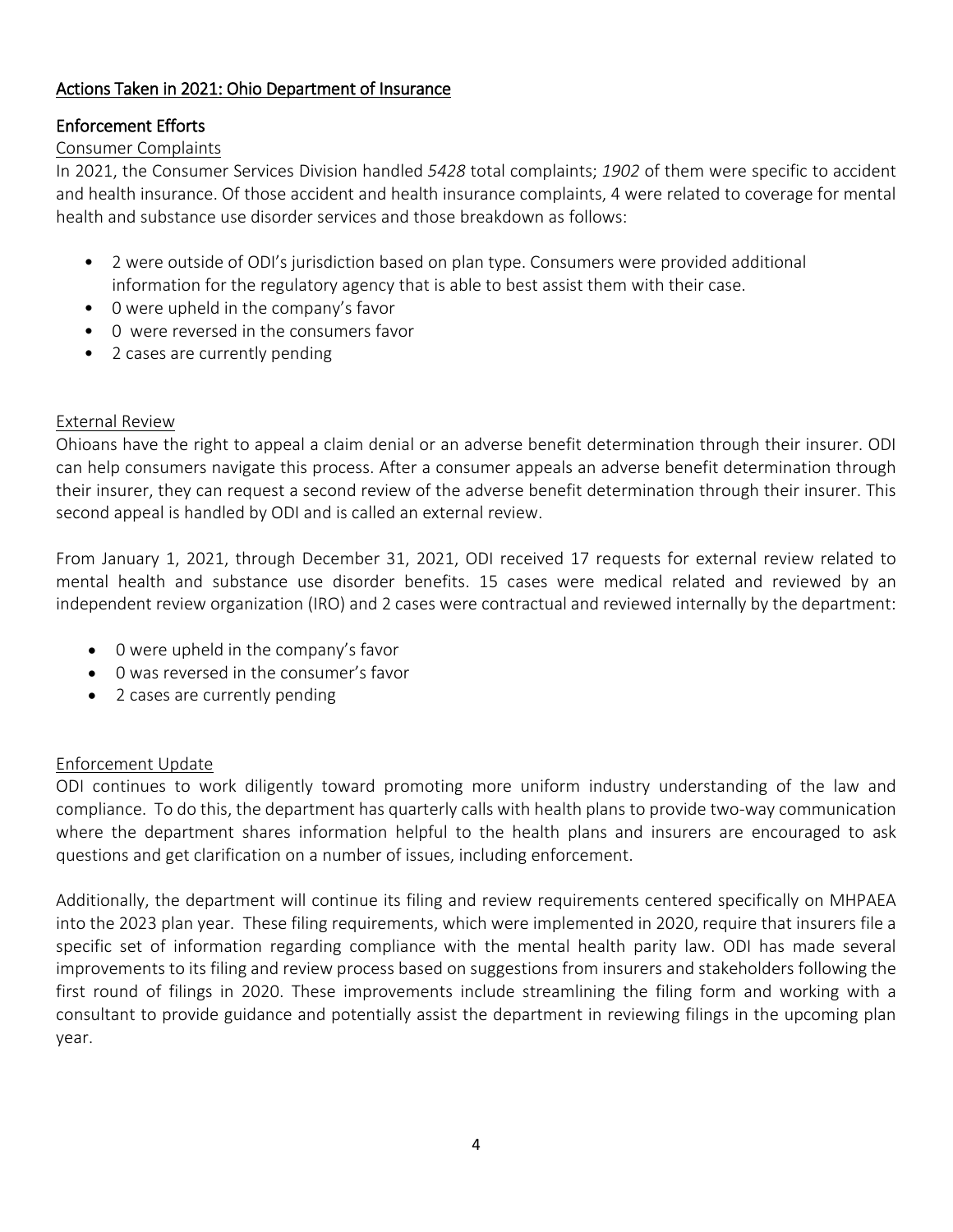# Actions Taken in 2021: Ohio Department of Insurance

# Enforcement Efforts

### Consumer Complaints

In 2021, the Consumer Services Division handled *5428* total complaints; *1902* of them were specific to accident and health insurance. Of those accident and health insurance complaints, 4 were related to coverage for mental health and substance use disorder services and those breakdown as follows:

- 2 were outside of ODI's jurisdiction based on plan type. Consumers were provided additional information for the regulatory agency that is able to best assist them with their case.
- 0 were upheld in the company's favor
- 0 were reversed in the consumers favor
- 2 cases are currently pending

### External Review

Ohioans have the right to appeal a claim denial or an adverse benefit determination through their insurer. ODI can help consumers navigate this process. After a consumer appeals an adverse benefit determination through their insurer, they can request a second review of the adverse benefit determination through their insurer. This second appeal is handled by ODI and is called an external review.

From January 1, 2021, through December 31, 2021, ODI received 17 requests for external review related to mental health and substance use disorder benefits. 15 cases were medical related and reviewed by an independent review organization (IRO) and 2 cases were contractual and reviewed internally by the department:

- 0 were upheld in the company's favor
- 0 was reversed in the consumer's favor
- 2 cases are currently pending

## Enforcement Update

ODI continues to work diligently toward promoting more uniform industry understanding of the law and compliance. To do this, the department has quarterly calls with health plans to provide two-way communication where the department shares information helpful to the health plans and insurers are encouraged to ask questions and get clarification on a number of issues, including enforcement.

Additionally, the department will continue its filing and review requirements centered specifically on MHPAEA into the 2023 plan year. These filing requirements, which were implemented in 2020, require that insurers file a specific set of information regarding compliance with the mental health parity law. ODI has made several improvements to its filing and review process based on suggestions from insurers and stakeholders following the first round of filings in 2020. These improvements include streamlining the filing form and working with a consultant to provide guidance and potentially assist the department in reviewing filings in the upcoming plan year.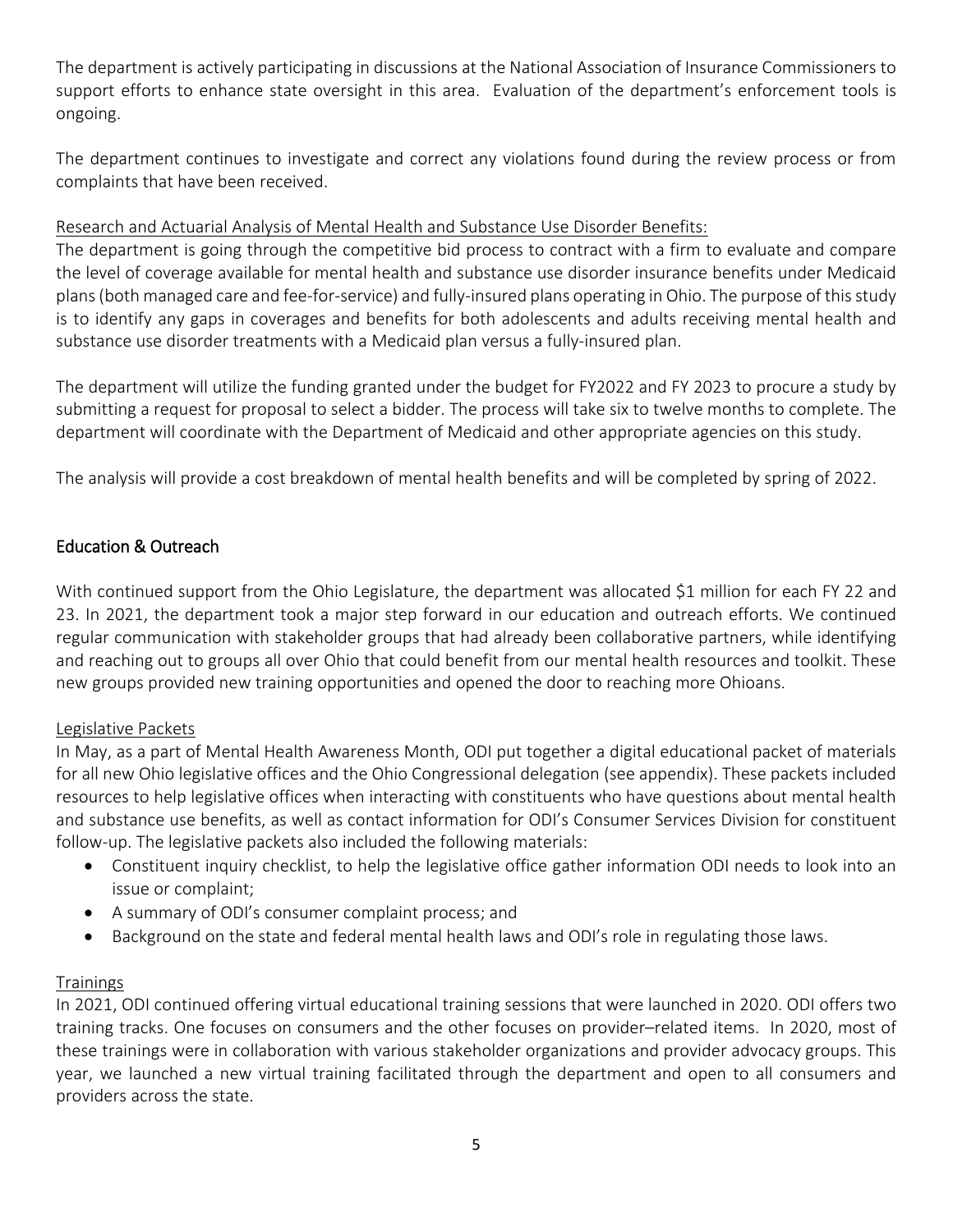The department is actively participating in discussions at the National Association of Insurance Commissioners to support efforts to enhance state oversight in this area. Evaluation of the department's enforcement tools is ongoing.

The department continues to investigate and correct any violations found during the review process or from complaints that have been received.

# Research and Actuarial Analysis of Mental Health and Substance Use Disorder Benefits:

The department is going through the competitive bid process to contract with a firm to evaluate and compare the level of coverage available for mental health and substance use disorder insurance benefits under Medicaid plans(both managed care and fee-for-service) and fully-insured plans operating in Ohio. The purpose of this study is to identify any gaps in coverages and benefits for both adolescents and adults receiving mental health and substance use disorder treatments with a Medicaid plan versus a fully-insured plan.

The department will utilize the funding granted under the budget for FY2022 and FY 2023 to procure a study by submitting a request for proposal to select a bidder. The process will take six to twelve months to complete. The department will coordinate with the Department of Medicaid and other appropriate agencies on this study.

The analysis will provide a cost breakdown of mental health benefits and will be completed by spring of 2022.

# Education & Outreach

With continued support from the Ohio Legislature, the department was allocated \$1 million for each FY 22 and 23. In 2021, the department took a major step forward in our education and outreach efforts. We continued regular communication with stakeholder groups that had already been collaborative partners, while identifying and reaching out to groups all over Ohio that could benefit from our mental health resources and toolkit. These new groups provided new training opportunities and opened the door to reaching more Ohioans.

## Legislative Packets

In May, as a part of Mental Health Awareness Month, ODI put together a digital educational packet of materials for all new Ohio legislative offices and the Ohio Congressional delegation (see appendix). These packets included resources to help legislative offices when interacting with constituents who have questions about mental health and substance use benefits, as well as contact information for ODI's Consumer Services Division for constituent follow-up. The legislative packets also included the following materials:

- Constituent inquiry checklist, to help the legislative office gather information ODI needs to look into an issue or complaint;
- A summary of ODI's consumer complaint process; and
- Background on the state and federal mental health laws and ODI's role in regulating those laws.

## **Trainings**

In 2021, ODI continued offering virtual educational training sessions that were launched in 2020. ODI offers two training tracks. One focuses on consumers and the other focuses on provider–related items. In 2020, most of these trainings were in collaboration with various stakeholder organizations and provider advocacy groups. This year, we launched a new virtual training facilitated through the department and open to all consumers and providers across the state.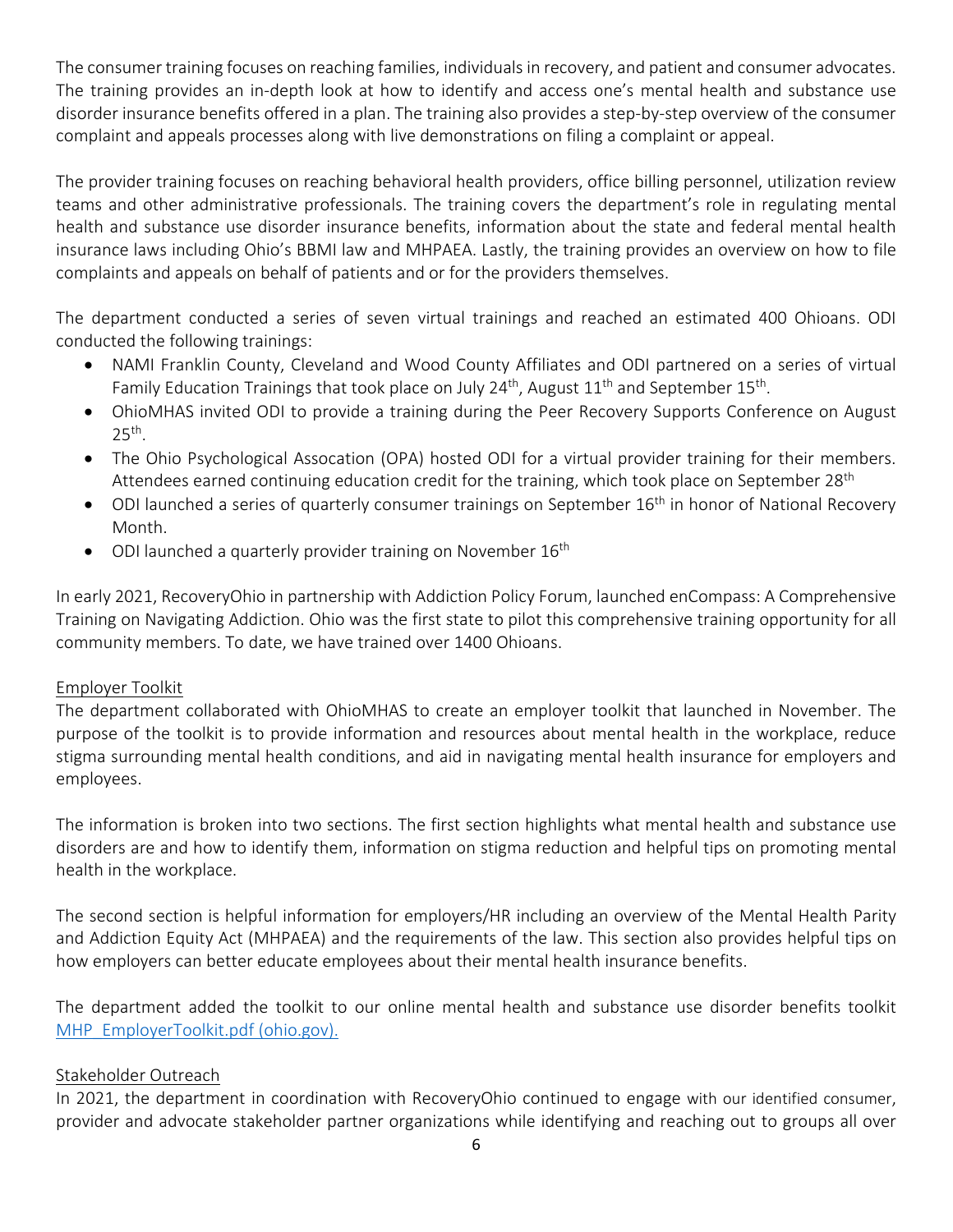The consumer training focuses on reaching families, individuals in recovery, and patient and consumer advocates. The training provides an in-depth look at how to identify and access one's mental health and substance use disorder insurance benefits offered in a plan. The training also provides a step-by-step overview of the consumer complaint and appeals processes along with live demonstrations on filing a complaint or appeal.

The provider training focuses on reaching behavioral health providers, office billing personnel, utilization review teams and other administrative professionals. The training covers the department's role in regulating mental health and substance use disorder insurance benefits, information about the state and federal mental health insurance laws including Ohio's BBMI law and MHPAEA. Lastly, the training provides an overview on how to file complaints and appeals on behalf of patients and or for the providers themselves.

The department conducted a series of seven virtual trainings and reached an estimated 400 Ohioans. ODI conducted the following trainings:

- NAMI Franklin County, Cleveland and Wood County Affiliates and ODI partnered on a series of virtual Family Education Trainings that took place on July 24<sup>th</sup>, August  $11<sup>th</sup>$  and September  $15<sup>th</sup>$ .
- OhioMHAS invited ODI to provide a training during the Peer Recovery Supports Conference on August  $25<sup>th</sup>$ .
- The Ohio Psychological Assocation (OPA) hosted ODI for a virtual provider training for their members. Attendees earned continuing education credit for the training, which took place on September 28<sup>th</sup>
- ODI launched a series of quarterly consumer trainings on September 16<sup>th</sup> in honor of National Recovery Month.
- ODI launched a quarterly provider training on November  $16<sup>th</sup>$

In early 2021, RecoveryOhio in partnership with Addiction Policy Forum, launched enCompass: A Comprehensive Training on Navigating Addiction. Ohio was the first state to pilot this comprehensive training opportunity for all community members. To date, we have trained over 1400 Ohioans.

# Employer Toolkit

The department collaborated with OhioMHAS to create an employer toolkit that launched in November. The purpose of the toolkit is to provide information and resources about mental health in the workplace, reduce stigma surrounding mental health conditions, and aid in navigating mental health insurance for employers and employees.

The information is broken into two sections. The first section highlights what mental health and substance use disorders are and how to identify them, information on stigma reduction and helpful tips on promoting mental health in the workplace.

The second section is helpful information for employers/HR including an overview of the Mental Health Parity and Addiction Equity Act (MHPAEA) and the requirements of the law. This section also provides helpful tips on how employers can better educate employees about their mental health insurance benefits.

The department added the toolkit to our online mental health and substance use disorder benefits toolkit [MHP\\_EmployerToolkit.pdf \(ohio.gov\).](https://insurance.ohio.gov/static/Consumer/Mental+Health+Parity/MHP_EmployerToolkit.pdf)

# Stakeholder Outreach

In 2021, the department in coordination with RecoveryOhio continued to engage with our identified consumer, provider and advocate stakeholder partner organizations while identifying and reaching out to groups all over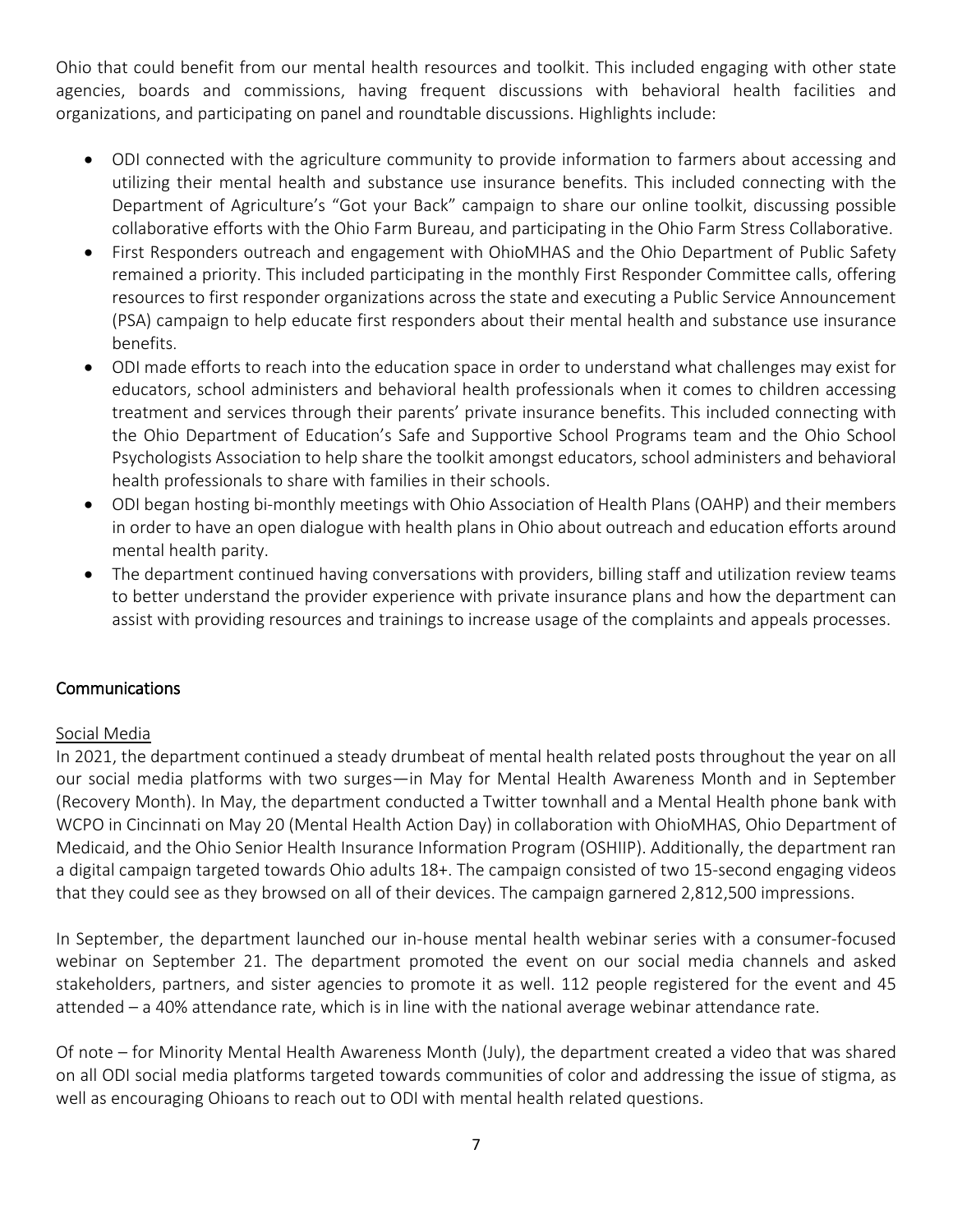Ohio that could benefit from our mental health resources and toolkit. This included engaging with other state agencies, boards and commissions, having frequent discussions with behavioral health facilities and organizations, and participating on panel and roundtable discussions. Highlights include:

- ODI connected with the agriculture community to provide information to farmers about accessing and utilizing their mental health and substance use insurance benefits. This included connecting with the Department of Agriculture's "Got your Back" campaign to share our online toolkit, discussing possible collaborative efforts with the Ohio Farm Bureau, and participating in the Ohio Farm Stress Collaborative.
- First Responders outreach and engagement with OhioMHAS and the Ohio Department of Public Safety remained a priority. This included participating in the monthly First Responder Committee calls, offering resources to first responder organizations across the state and executing a Public Service Announcement (PSA) campaign to help educate first responders about their mental health and substance use insurance benefits.
- ODI made efforts to reach into the education space in order to understand what challenges may exist for educators, school administers and behavioral health professionals when it comes to children accessing treatment and services through their parents' private insurance benefits. This included connecting with the Ohio Department of Education's Safe and Supportive School Programs team and the Ohio School Psychologists Association to help share the toolkit amongst educators, school administers and behavioral health professionals to share with families in their schools.
- ODI began hosting bi-monthly meetings with Ohio Association of Health Plans (OAHP) and their members in order to have an open dialogue with health plans in Ohio about outreach and education efforts around mental health parity.
- The department continued having conversations with providers, billing staff and utilization review teams to better understand the provider experience with private insurance plans and how the department can assist with providing resources and trainings to increase usage of the complaints and appeals processes.

## **Communications**

## Social Media

In 2021, the department continued a steady drumbeat of mental health related posts throughout the year on all our social media platforms with two surges—in May for Mental Health Awareness Month and in September (Recovery Month). In May, the department conducted a Twitter townhall and a Mental Health phone bank with WCPO in Cincinnati on May 20 (Mental Health Action Day) in collaboration with OhioMHAS, Ohio Department of Medicaid, and the Ohio Senior Health Insurance Information Program (OSHIIP). Additionally, the department ran a digital campaign targeted towards Ohio adults 18+. The campaign consisted of two 15-second engaging videos that they could see as they browsed on all of their devices. The campaign garnered 2,812,500 impressions.

In September, the department launched our in-house mental health webinar series with a consumer-focused webinar on September 21. The department promoted the event on our social media channels and asked stakeholders, partners, and sister agencies to promote it as well. 112 people registered for the event and 45 attended – a 40% attendance rate, which is in line with the national average webinar attendance rate.

Of note – for Minority Mental Health Awareness Month (July), the department created a video that was shared on all ODI social media platforms targeted towards communities of color and addressing the issue of stigma, as well as encouraging Ohioans to reach out to ODI with mental health related questions.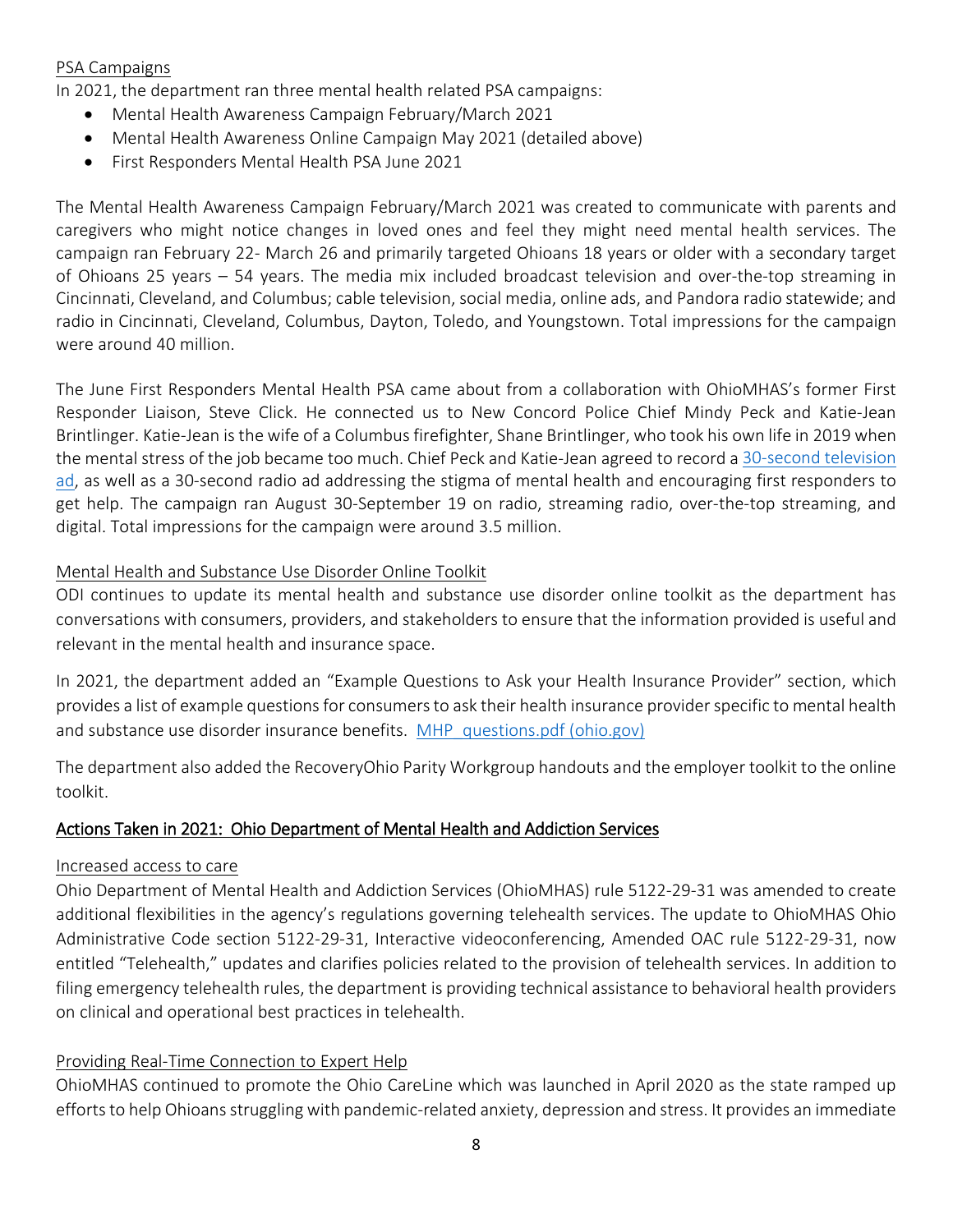## PSA Campaigns

In 2021, the department ran three mental health related PSA campaigns:

- Mental Health Awareness Campaign February/March 2021
- Mental Health Awareness Online Campaign May 2021 (detailed above)
- First Responders Mental Health PSA June 2021

The Mental Health Awareness Campaign February/March 2021 was created to communicate with parents and caregivers who might notice changes in loved ones and feel they might need mental health services. The campaign ran February 22- March 26 and primarily targeted Ohioans 18 years or older with a secondary target of Ohioans 25 years – 54 years. The media mix included broadcast television and over-the-top streaming in Cincinnati, Cleveland, and Columbus; cable television, social media, online ads, and Pandora radio statewide; and radio in Cincinnati, Cleveland, Columbus, Dayton, Toledo, and Youngstown. Total impressions for the campaign were around 40 million.

The June First Responders Mental Health PSA came about from a collaboration with OhioMHAS's former First Responder Liaison, Steve Click. He connected us to New Concord Police Chief Mindy Peck and Katie-Jean Brintlinger. Katie-Jean is the wife of a Columbus firefighter, Shane Brintlinger, who took his own life in 2019 when the mental stress of the job became too much. Chief Peck and Katie-Jean agreed to record a [30-second television](https://www.youtube.com/watch?v=w9Bjlys1WgQ)  [ad,](https://www.youtube.com/watch?v=w9Bjlys1WgQ) as well as a 30-second radio ad addressing the stigma of mental health and encouraging first responders to get help. The campaign ran August 30-September 19 on radio, streaming radio, over-the-top streaming, and digital. Total impressions for the campaign were around 3.5 million.

### Mental Health and Substance Use Disorder Online Toolkit

ODI continues to update its mental health and substance use disorder online toolkit as the department has conversations with consumers, providers, and stakeholders to ensure that the information provided is useful and relevant in the mental health and insurance space.

In 2021, the department added an "Example Questions to Ask your Health Insurance Provider" section, which provides a list of example questions for consumers to ask their health insurance provider specific to mental health and substance use disorder insurance benefits. MHP questions.pdf (ohio.gov)

The department also added the RecoveryOhio Parity Workgroup handouts and the employer toolkit to the online toolkit.

## Actions Taken in 2021: Ohio Department of Mental Health and Addiction Services

#### Increased access to care

Ohio Department of Mental Health and Addiction Services (OhioMHAS) rule 5122-29-31 was amended to create additional flexibilities in the agency's regulations governing telehealth services. The update to OhioMHAS Ohio Administrative Code section 5122-29-31, Interactive videoconferencing, Amended OAC rule 5122-29-31, now entitled "Telehealth," updates and clarifies policies related to the provision of telehealth services. In addition to filing emergency telehealth rules, the department is providing technical assistance to behavioral health providers on clinical and operational best practices in telehealth.

## Providing Real-Time Connection to Expert Help

OhioMHAS continued to promote the Ohio CareLine which was launched in April 2020 as the state ramped up efforts to help Ohioans struggling with pandemic-related anxiety, depression and stress. It provides an immediate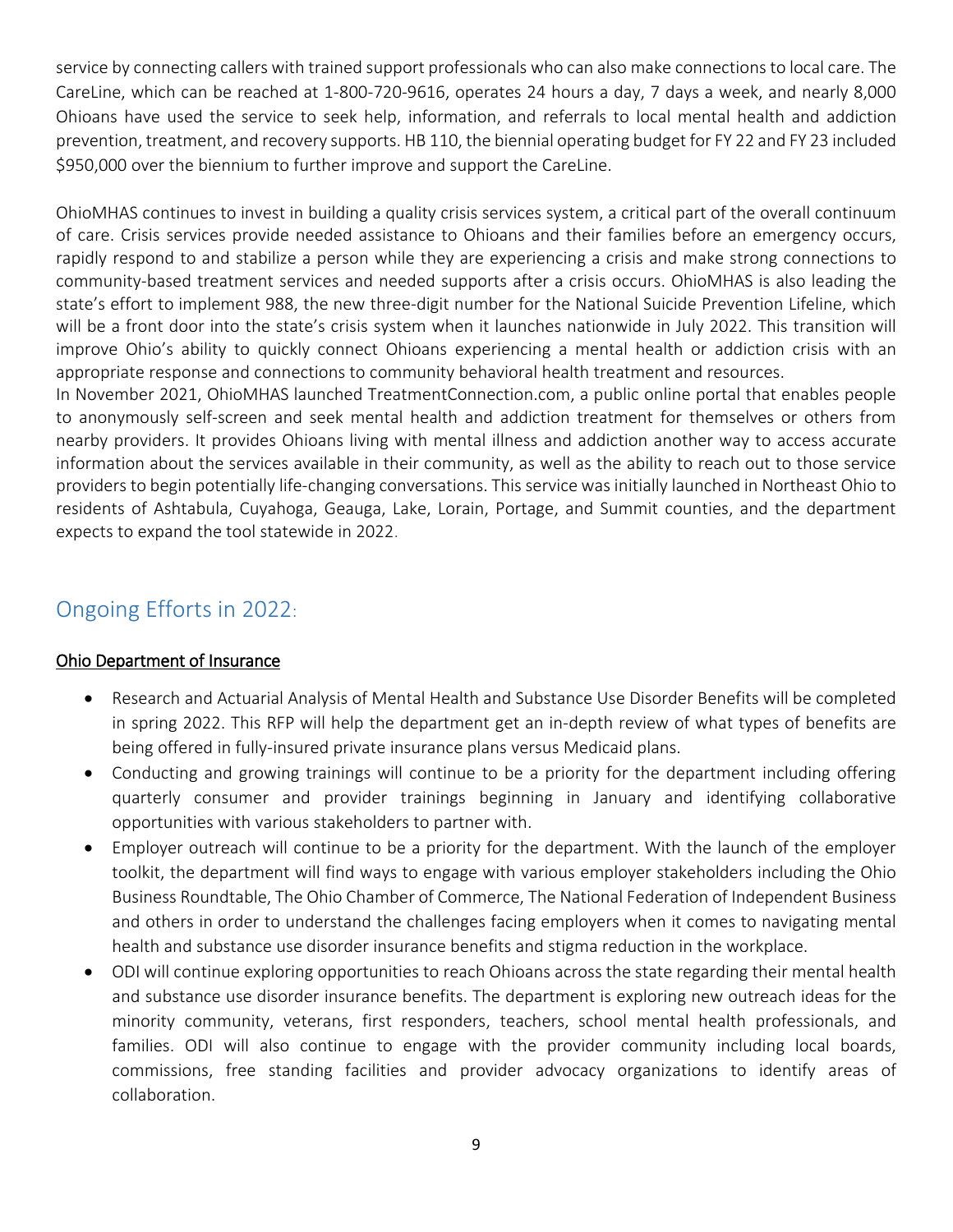service by connecting callers with trained support professionals who can also make connections to local care. The CareLine, which can be reached at 1-800-720-9616, operates 24 hours a day, 7 days a week, and nearly 8,000 Ohioans have used the service to seek help, information, and referrals to local mental health and addiction prevention, treatment, and recovery supports. HB 110, the biennial operating budget for FY 22 and FY 23 included \$950,000 over the biennium to further improve and support the CareLine.

OhioMHAS continues to invest in building a quality crisis services system, a critical part of the overall continuum of care. Crisis services provide needed assistance to Ohioans and their families before an emergency occurs, rapidly respond to and stabilize a person while they are experiencing a crisis and make strong connections to community-based treatment services and needed supports after a crisis occurs. OhioMHAS is also leading the state's effort to implement 988, the new three-digit number for the National Suicide Prevention Lifeline, which will be a front door into the state's crisis system when it launches nationwide in July 2022. This transition will improve Ohio's ability to quickly connect Ohioans experiencing a mental health or addiction crisis with an appropriate response and connections to community behavioral health treatment and resources.

In November 2021, OhioMHAS launched TreatmentConnection.com, a public online portal that enables people to anonymously self-screen and seek mental health and addiction treatment for themselves or others from nearby providers. It provides Ohioans living with mental illness and addiction another way to access accurate information about the services available in their community, as well as the ability to reach out to those service providers to begin potentially life-changing conversations. This service was initially launched in Northeast Ohio to residents of Ashtabula, Cuyahoga, Geauga, Lake, Lorain, Portage, and Summit counties, and the department expects to expand the tool statewide in 2022.

# Ongoing Efforts in 2022:

# Ohio Department of Insurance

- Research and Actuarial Analysis of Mental Health and Substance Use Disorder Benefits will be completed in spring 2022. This RFP will help the department get an in-depth review of what types of benefits are being offered in fully-insured private insurance plans versus Medicaid plans.
- Conducting and growing trainings will continue to be a priority for the department including offering quarterly consumer and provider trainings beginning in January and identifying collaborative opportunities with various stakeholders to partner with.
- Employer outreach will continue to be a priority for the department. With the launch of the employer toolkit, the department will find ways to engage with various employer stakeholders including the Ohio Business Roundtable, The Ohio Chamber of Commerce, The National Federation of Independent Business and others in order to understand the challenges facing employers when it comes to navigating mental health and substance use disorder insurance benefits and stigma reduction in the workplace.
- ODI will continue exploring opportunities to reach Ohioans across the state regarding their mental health and substance use disorder insurance benefits. The department is exploring new outreach ideas for the minority community, veterans, first responders, teachers, school mental health professionals, and families. ODI will also continue to engage with the provider community including local boards, commissions, free standing facilities and provider advocacy organizations to identify areas of collaboration.